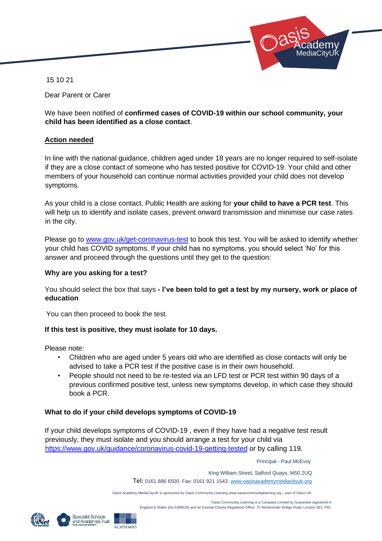

15 10 21

Dear Parent or Carer

We have been notified of **confirmed cases of COVID-19 within our school community, your child has been identified as a close contact**.

#### **Action needed**

In line with the national guidance, children aged under 18 years are no longer required to self-isolate if they are a close contact of someone who has tested positive for COVID-19. Your child and other members of your household can continue normal activities provided your child does not develop symptoms.

As your child is a close contact, Public Health are asking for **your child to have a PCR test**. This will help us to identify and isolate cases, prevent onward transmission and minimise our case rates in the city.

Please go to www.gov.uk/get-coronavirus-test to book this test. You will be asked to identify whether your child has COVID symptoms. If your child has no symptoms, you should select 'No' for this answer and proceed through the questions until they get to the question:

#### **Why are you asking for a test?**

You should select the box that says **- I've been told to get a test by my nursery, work or place of education** 

You can then proceed to book the test.

### **If this test is positive, they must isolate for 10 days.**

Please note:

- Children who are aged under 5 years old who are identified as close contacts will only be advised to take a PCR test if the positive case is in their own household.
- People should not need to be re-tested via an LFD test or PCR test within 90 days of a previous confirmed positive test, unless new symptoms develop, in which case they should book a PCR.

### **What to do if your child develops symptoms of COVID-19**

If your child develops symptoms of COVID-19 , even if they have had a negative test result previously, they must isolate and you should arrange a test for your child via <https://www.gov.uk/guidance/coronavirus-covid-19-getting-tested> [or](https://www.gov.uk/guidance/coronavirus-covid-19-getting-tested) by calling 119.

Principal - Paul McEvoy

 King William Street, Salford Quays, M50 2UQ Tel: 0161 886 6500. Fax: 0161 921 1543[. www.oasisacademymediacityuk.org](http://www.oasisacademymediacityuk.org/)

Oasis Academy MediaCityUK is sponsored by Oasis Community Learning www.oasiscommunitylearning.org – part of Oasis UK.

 Oasis Community Learning is a Company Limited by Guarantee registered in England & Wales (No.5398529) and an Exempt Charity Registered Office: 75 Westminster Bridge Road, London SE1 7HS



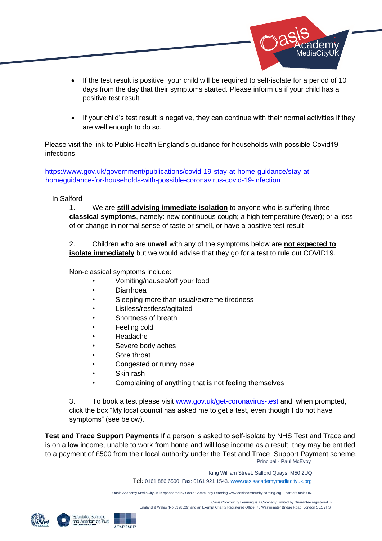

- If the test result is positive, your child will be required to self-isolate for a period of 10 days from the day that their symptoms started. Please inform us if your child has a positive test result.
- If your child's test result is negative, they can continue with their normal activities if they are well enough to do so.

Please visit the link to Public Health England's guidance for households with possible Covid19 infections:

[https://www.gov.uk/government/publications/covid-19-stay-at-home-guidance/stay-at](https://www.gov.uk/government/publications/covid-19-stay-at-home-guidance/stay-at-home-guidance-for-households-with-possible-coronavirus-covid-19-infection)[homeguidance-for-households-with-possible-coronavirus-covid-19-infection](https://www.gov.uk/government/publications/covid-19-stay-at-home-guidance/stay-at-home-guidance-for-households-with-possible-coronavirus-covid-19-infection) 

#### In Salford

1. We are **still advising immediate isolation** to anyone who is suffering three **classical symptoms**, namely: new continuous cough; a high temperature (fever); or a loss of or change in normal sense of taste or smell, or have a positive test result

2. Children who are unwell with any of the symptoms below are **not expected to isolate immediately** but we would advise that they go for a test to rule out COVID19.

Non-classical symptoms include:

- Vomiting/nausea/off your food
- Diarrhoea
- Sleeping more than usual/extreme tiredness
- Listless/restless/agitated
- Shortness of breath
- Feeling cold
- Headache
- Severe body aches
- Sore throat
- Congested or runny nose
- Skin rash
- Complaining of anything that is not feeling themselves

3. To book a test please visit [www.gov.uk/get-coronavirus-test](http://www.gov.uk/get-coronavirus-test) [and](http://www.gov.uk/get-coronavirus-test), when prompted, click the box "My local council has asked me to get a test, even though I do not have symptoms" (see below).

 Principal - Paul McEvoy **Test and Trace Support Payments** If a person is asked to self-isolate by NHS Test and Trace and is on a low income, unable to work from home and will lose income as a result, they may be entitled to a payment of £500 from their local authority under the Test and Trace Support Payment scheme.

> King William Street, Salford Quays, M50 2UQ Tel: 0161 886 6500. Fax: 0161 921 1543[. www.oasisacademymediacityuk.org](http://www.oasisacademymediacityuk.org/)

Oasis Academy MediaCityUK is sponsored by Oasis Community Learning www.oasiscommunitylearning.org – part of Oasis UK.



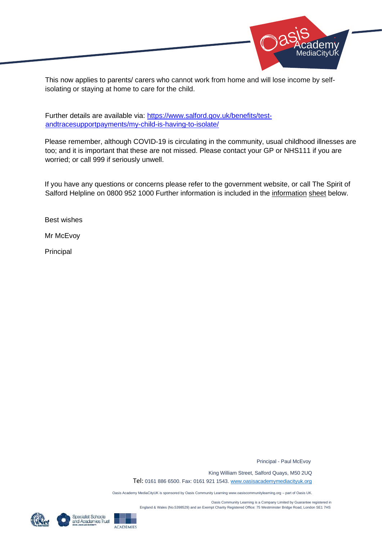

This now applies to parents/ carers who cannot work from home and will lose income by selfisolating or staying at home to care for the child.

Further details are available via: [https://www.salford.gov.uk/benefits/test](https://www.salford.gov.uk/benefits/test-and-trace-support-payments/my-child-is-having-to-isolate/)[andtracesupportpayments/my-child-is-having-to-isolate/](https://www.salford.gov.uk/benefits/test-and-trace-support-payments/my-child-is-having-to-isolate/) 

Please remember, although COVID-19 is circulating in the community, usual childhood illnesses are too; and it is important that these are not missed. Please contact your GP or NHS111 if you are worried; or call 999 if seriously unwell.

If you have any questions or concerns please refer to the government website, or call The Spirit of Salford Helpline on 0800 952 1000 Further information is included in the information sheet below.

Best wishes

Mr McEvoy

Principal

Principal - Paul McEvoy

 King William Street, Salford Quays, M50 2UQ Tel: 0161 886 6500. Fax: 0161 921 1543[. www.oasisacademymediacityuk.org](http://www.oasisacademymediacityuk.org/)

Oasis Academy MediaCityUK is sponsored by Oasis Community Learning www.oasiscommunitylearning.org – part of Oasis UK.

 Oasis Community Learning is a Company Limited by Guarantee registered in England & Wales (No.5398529) and an Exempt Charity Registered Office: 75 Westminster Bridge Road, London SE1 7HS